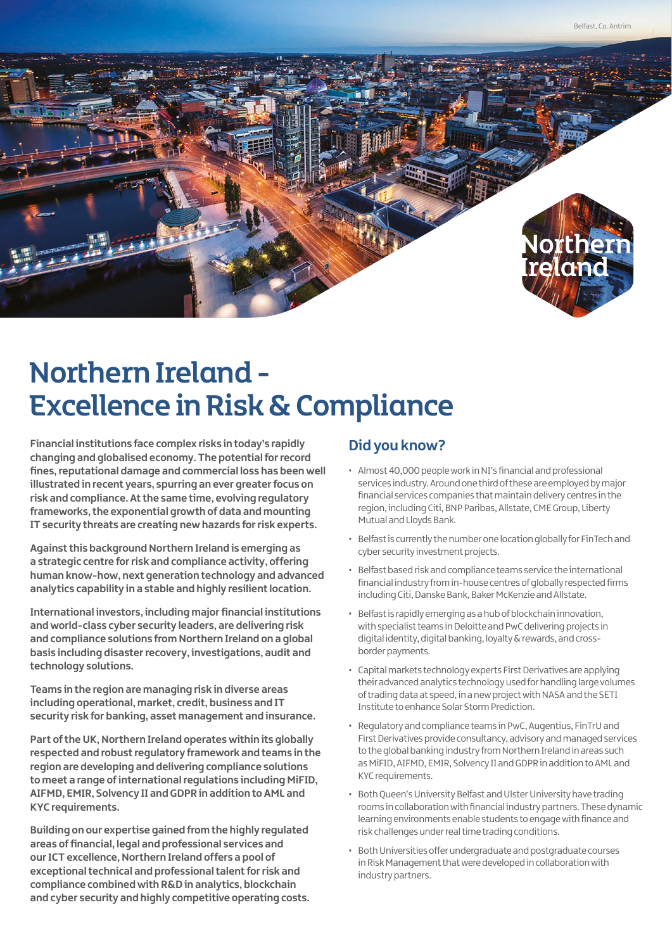

# Northern Ireland - Excellence in Risk & Compliance

**Financial institutions face complex risks in today's rapidly changing and globalised economy. The potential for record fines, reputational damage and commercial loss has been well illustrated in recent years, spurring an ever greater focus on risk and compliance. At the same time, evolving regulatory frameworks, the exponential growth of data and mounting IT security threats are creating new hazards for risk experts.**

**Against this background Northern Ireland is emerging as a strategic centre for risk and compliance activity, offering human know-how, next generation technology and advanced analytics capability in a stable and highly resilient location.** 

**International investors, including major financial institutions and world-class cyber security leaders, are delivering risk and compliance solutions from Northern Ireland on a global basis including disaster recovery, investigations, audit and technology solutions.** 

**Teams in the region are managing risk in diverse areas including operational, market, credit, business and IT security risk for banking, asset management and insurance.** 

**Part of the UK, Northern Ireland operates within its globally respected and robust regulatory framework and teams in the region are developing and delivering compliance solutions to meet a range of international regulations including MiFID, AIFMD, EMIR, Solvency II and GDPR in addition to AML and KYC requirements.** 

**Building on our expertise gained from the highly regulated areas of financial, legal and professional services and our ICT excellence, Northern Ireland offers a pool of exceptional technical and professional talent for risk and compliance combined with R&D in analytics, blockchain and cyber security and highly competitive operating costs.**

#### **Did you know?**

- Almost 40,000 people work in NI's financial and professional services industry. Around one third of these are employed by major financial services companies that maintain delivery centres in the region, including Citi, BNP Paribas, Allstate, CME Group, Liberty Mutual and Lloyds Bank.
- Belfast is currently the number one location globally for FinTech and cyber security investment projects.
- Belfast based risk and compliance teams service the international financial industry from in-house centres of globally respected firms including Citi, Danske Bank, Baker McKenzie and Allstate.
- Belfast is rapidly emerging as a hub of blockchain innovation, with specialist teams in Deloitte and PwC delivering projects in digital identity, digital banking, loyalty & rewards, and crossborder payments.
- Capital markets technology experts First Derivatives are applying their advanced analytics technology used for handling large volumes of trading data at speed, in a new project with NASA and the SETI Institute to enhance Solar Storm Prediction.
- Regulatory and compliance teams in PwC, Augentius, FinTrU and First Derivatives provide consultancy, advisory and managed services to the global banking industry from Northern Ireland in areas such as MiFID, AIFMD, EMIR, Solvency II and GDPR in addition to AML and KYC requirements.
- Both Queen's University Belfast and Ulster University have trading rooms in collaboration with financial industry partners. These dynamic learning environments enable students to engage with finance and risk challenges under real time trading conditions.
- Both Universities offer undergraduate and postgraduate courses in Risk Management that were developed in collaboration with industry partners.